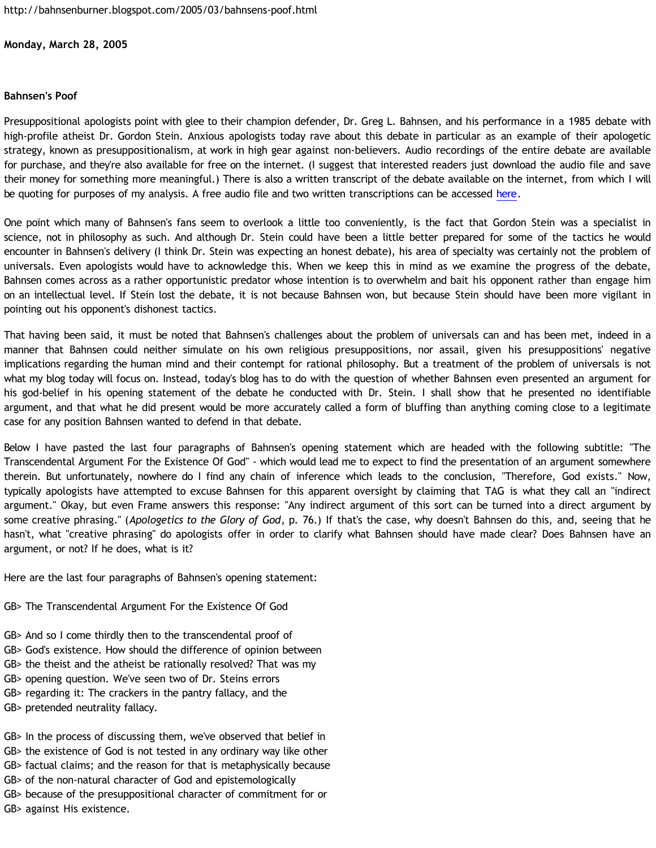## **Monday, March 28, 2005**

## **Bahnsen's Poof**

Presuppositional apologists point with glee to their champion defender, Dr. Greg L. Bahnsen, and his performance in a 1985 debate with high-profile atheist Dr. Gordon Stein. Anxious apologists today rave about this debate in particular as an example of their apologetic strategy, known as presuppositionalism, at work in high gear against non-believers. Audio recordings of the entire debate are available for purchase, and they're also available for free on the internet. (I suggest that interested readers just download the audio file and save their money for something more meaningful.) There is also a written transcript of the debate available on the internet, from which I will be quoting for purposes of my analysis. A free audio file and two written transcriptions can be accessed [here](http://www.popchapel.com/Resources/Bahnsen/GreatDebate/).

One point which many of Bahnsen's fans seem to overlook a little too conveniently, is the fact that Gordon Stein was a specialist in science, not in philosophy as such. And although Dr. Stein could have been a little better prepared for some of the tactics he would encounter in Bahnsen's delivery (I think Dr. Stein was expecting an honest debate), his area of specialty was certainly not the problem of universals. Even apologists would have to acknowledge this. When we keep this in mind as we examine the progress of the debate, Bahnsen comes across as a rather opportunistic predator whose intention is to overwhelm and bait his opponent rather than engage him on an intellectual level. If Stein lost the debate, it is not because Bahnsen won, but because Stein should have been more vigilant in pointing out his opponent's dishonest tactics.

That having been said, it must be noted that Bahnsen's challenges about the problem of universals can and has been met, indeed in a manner that Bahnsen could neither simulate on his own religious presuppositions, nor assail, given his presuppositions' negative implications regarding the human mind and their contempt for rational philosophy. But a treatment of the problem of universals is not what my blog today will focus on. Instead, today's blog has to do with the question of whether Bahnsen even presented an argument for his god-belief in his opening statement of the debate he conducted with Dr. Stein. I shall show that he presented no identifiable argument, and that what he did present would be more accurately called a form of bluffing than anything coming close to a legitimate case for any position Bahnsen wanted to defend in that debate.

Below I have pasted the last four paragraphs of Bahnsen's opening statement which are headed with the following subtitle: "The Transcendental Argument For the Existence Of God" - which would lead me to expect to find the presentation of an argument somewhere therein. But unfortunately, nowhere do I find any chain of inference which leads to the conclusion, "Therefore, God exists." Now, typically apologists have attempted to excuse Bahnsen for this apparent oversight by claiming that TAG is what they call an "indirect argument." Okay, but even Frame answers this response: "Any indirect argument of this sort can be turned into a direct argument by some creative phrasing." (*Apologetics to the Glory of God*, p. 76.) If that's the case, why doesn't Bahnsen do this, and, seeing that he hasn't, what "creative phrasing" do apologists offer in order to clarify what Bahnsen should have made clear? Does Bahnsen have an argument, or not? If he does, what is it?

Here are the last four paragraphs of Bahnsen's opening statement:

GB> The Transcendental Argument For the Existence Of God

GB> And so I come thirdly then to the transcendental proof of GB> God's existence. How should the difference of opinion between GB> the theist and the atheist be rationally resolved? That was my GB> opening question. We've seen two of Dr. Steins errors GB> regarding it: The crackers in the pantry fallacy, and the GB> pretended neutrality fallacy.

GB> In the process of discussing them, we've observed that belief in GB> the existence of God is not tested in any ordinary way like other GB> factual claims; and the reason for that is metaphysically because GB> of the non-natural character of God and epistemologically GB> because of the presuppositional character of commitment for or GB> against His existence.